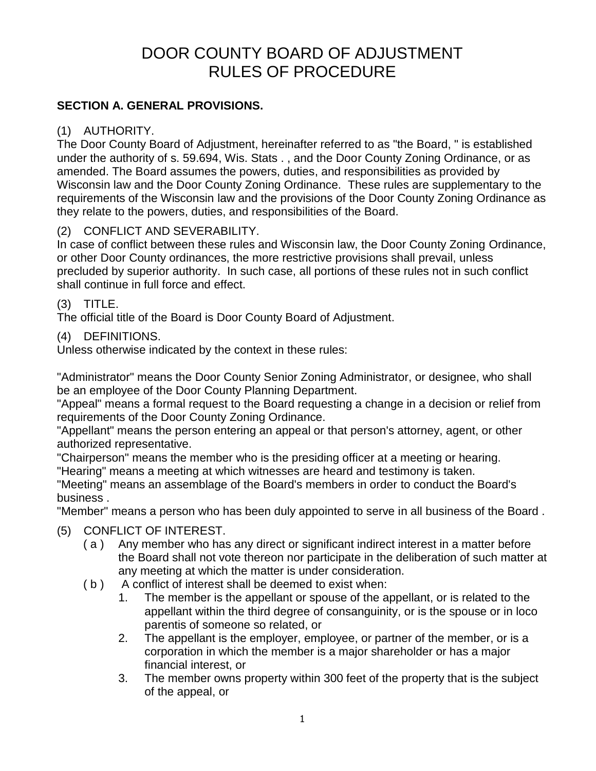# DOOR COUNTY BOARD OF ADJUSTMENT RULES OF PROCEDURE

#### **SECTION A. GENERAL PROVISIONS.**

#### (1) AUTHORITY.

The Door County Board of Adjustment, hereinafter referred to as "the Board, " is established under the authority of s. 59.694, Wis. Stats . , and the Door County Zoning Ordinance, or as amended. The Board assumes the powers, duties, and responsibilities as provided by Wisconsin law and the Door County Zoning Ordinance. These rules are supplementary to the requirements of the Wisconsin law and the provisions of the Door County Zoning Ordinance as they relate to the powers, duties, and responsibilities of the Board.

## (2) CONFLICT AND SEVERABILITY.

In case of conflict between these rules and Wisconsin law, the Door County Zoning Ordinance, or other Door County ordinances, the more restrictive provisions shall prevail, unless precluded by superior authority. In such case, all portions of these rules not in such conflict shall continue in full force and effect.

#### (3) TITLE.

The official title of the Board is Door County Board of Adjustment.

#### (4) DEFINITIONS.

Unless otherwise indicated by the context in these rules:

"Administrator" means the Door County Senior Zoning Administrator, or designee, who shall be an employee of the Door County Planning Department.

"Appeal" means a formal request to the Board requesting a change in a decision or relief from requirements of the Door County Zoning Ordinance.

"Appellant" means the person entering an appeal or that person's attorney, agent, or other authorized representative.

"Chairperson" means the member who is the presiding officer at a meeting or hearing.

"Hearing" means a meeting at which witnesses are heard and testimony is taken.

"Meeting" means an assemblage of the Board's members in order to conduct the Board's business .

"Member" means a person who has been duly appointed to serve in all business of the Board .

#### (5) CONFLICT OF INTEREST.

- ( a ) Any member who has any direct or significant indirect interest in a matter before the Board shall not vote thereon nor participate in the deliberation of such matter at any meeting at which the matter is under consideration.
- ( b ) A conflict of interest shall be deemed to exist when:
	- 1. The member is the appellant or spouse of the appellant, or is related to the appellant within the third degree of consanguinity, or is the spouse or in loco parentis of someone so related, or
	- 2. The appellant is the employer, employee, or partner of the member, or is a corporation in which the member is a major shareholder or has a major financial interest, or
	- 3. The member owns property within 300 feet of the property that is the subject of the appeal, or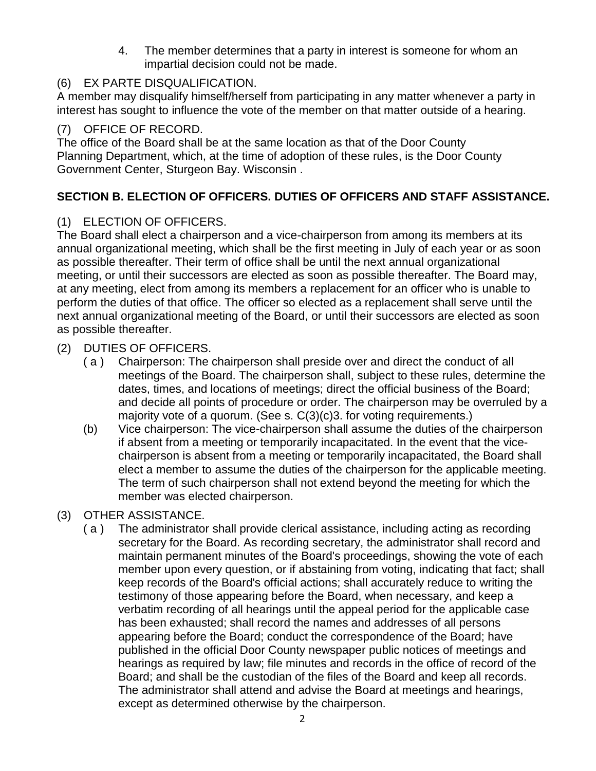4. The member determines that a party in interest is someone for whom an impartial decision could not be made.

## (6) EX PARTE DISQUALIFICATION.

A member may disqualify himself/herself from participating in any matter whenever a party in interest has sought to influence the vote of the member on that matter outside of a hearing.

## (7) OFFICE OF RECORD.

The office of the Board shall be at the same location as that of the Door County Planning Department, which, at the time of adoption of these rules, is the Door County Government Center, Sturgeon Bay. Wisconsin .

# **SECTION B. ELECTION OF OFFICERS. DUTIES OF OFFICERS AND STAFF ASSISTANCE.**

## (1) ELECTION OF OFFICERS.

The Board shall elect a chairperson and a vice-chairperson from among its members at its annual organizational meeting, which shall be the first meeting in July of each year or as soon as possible thereafter. Their term of office shall be until the next annual organizational meeting, or until their successors are elected as soon as possible thereafter. The Board may, at any meeting, elect from among its members a replacement for an officer who is unable to perform the duties of that office. The officer so elected as a replacement shall serve until the next annual organizational meeting of the Board, or until their successors are elected as soon as possible thereafter.

## (2) DUTIES OF OFFICERS.

- ( a ) Chairperson: The chairperson shall preside over and direct the conduct of all meetings of the Board. The chairperson shall, subject to these rules, determine the dates, times, and locations of meetings; direct the official business of the Board; and decide all points of procedure or order. The chairperson may be overruled by a majority vote of a quorum. (See s. C(3)(c)3. for voting requirements.)
- (b) Vice chairperson: The vice-chairperson shall assume the duties of the chairperson if absent from a meeting or temporarily incapacitated. In the event that the vicechairperson is absent from a meeting or temporarily incapacitated, the Board shall elect a member to assume the duties of the chairperson for the applicable meeting. The term of such chairperson shall not extend beyond the meeting for which the member was elected chairperson.
- (3) OTHER ASSISTANCE.
	- ( a ) The administrator shall provide clerical assistance, including acting as recording secretary for the Board. As recording secretary, the administrator shall record and maintain permanent minutes of the Board's proceedings, showing the vote of each member upon every question, or if abstaining from voting, indicating that fact; shall keep records of the Board's official actions; shall accurately reduce to writing the testimony of those appearing before the Board, when necessary, and keep a verbatim recording of all hearings until the appeal period for the applicable case has been exhausted; shall record the names and addresses of all persons appearing before the Board; conduct the correspondence of the Board; have published in the official Door County newspaper public notices of meetings and hearings as required by law; file minutes and records in the office of record of the Board; and shall be the custodian of the files of the Board and keep all records. The administrator shall attend and advise the Board at meetings and hearings, except as determined otherwise by the chairperson.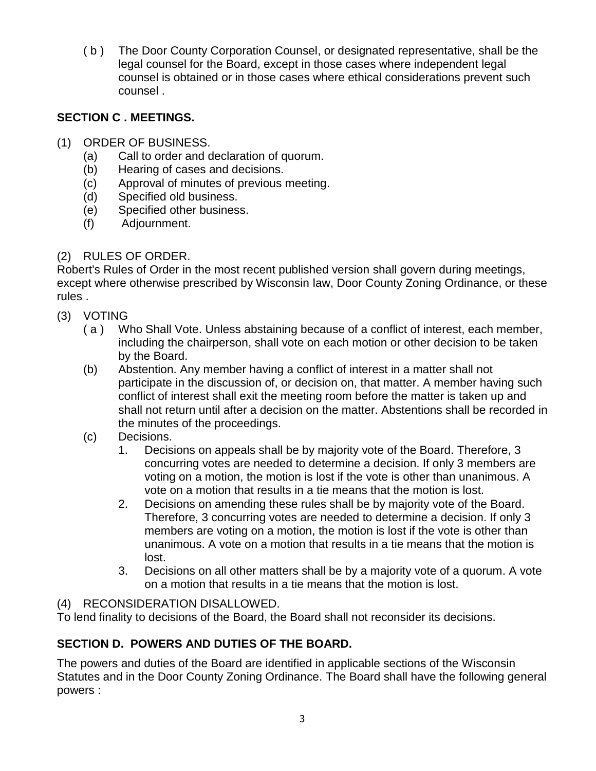( b ) The Door County Corporation Counsel, or designated representative, shall be the legal counsel for the Board, except in those cases where independent legal counsel is obtained or in those cases where ethical considerations prevent such counsel .

# **SECTION C . MEETINGS.**

- (1) ORDER OF BUSINESS.
	- (a) Call to order and declaration of quorum.
	- (b) Hearing of cases and decisions.
	- (c) Approval of minutes of previous meeting.
	- (d) Specified old business.
	- (e) Specified other business.
	- (f) Adjournment.

# (2) RULES OF ORDER.

Robert's Rules of Order in the most recent published version shall govern during meetings, except where otherwise prescribed by Wisconsin law, Door County Zoning Ordinance, or these rules .

- (3) VOTING
	- ( a ) Who Shall Vote. Unless abstaining because of a conflict of interest, each member, including the chairperson, shall vote on each motion or other decision to be taken by the Board.
	- (b) Abstention. Any member having a conflict of interest in a matter shall not participate in the discussion of, or decision on, that matter. A member having such conflict of interest shall exit the meeting room before the matter is taken up and shall not return until after a decision on the matter. Abstentions shall be recorded in the minutes of the proceedings.
	- (c) Decisions.
		- 1. Decisions on appeals shall be by majority vote of the Board. Therefore, 3 concurring votes are needed to determine a decision. If only 3 members are voting on a motion, the motion is lost if the vote is other than unanimous. A vote on a motion that results in a tie means that the motion is lost.
		- 2. Decisions on amending these rules shall be by majority vote of the Board. Therefore, 3 concurring votes are needed to determine a decision. If only 3 members are voting on a motion, the motion is lost if the vote is other than unanimous. A vote on a motion that results in a tie means that the motion is lost.
		- 3. Decisions on all other matters shall be by a majority vote of a quorum. A vote on a motion that results in a tie means that the motion is lost.

#### (4) RECONSIDERATION DISALLOWED.

To lend finality to decisions of the Board, the Board shall not reconsider its decisions.

# **SECTION D. POWERS AND DUTIES OF THE BOARD.**

The powers and duties of the Board are identified in applicable sections of the Wisconsin Statutes and in the Door County Zoning Ordinance. The Board shall have the following general powers :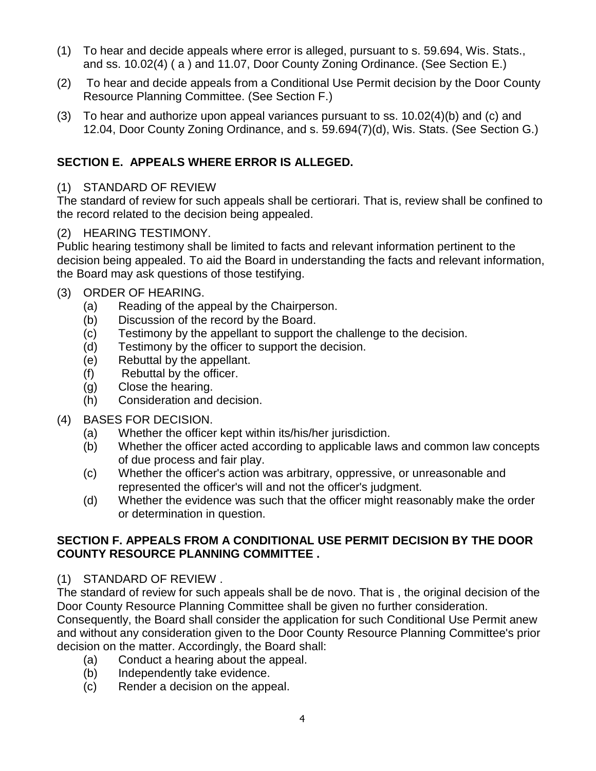- (1) To hear and decide appeals where error is alleged, pursuant to s. 59.694, Wis. Stats., and ss. 10.02(4) ( a ) and 11.07, Door County Zoning Ordinance. (See Section E.)
- (2) To hear and decide appeals from a Conditional Use Permit decision by the Door County Resource Planning Committee. (See Section F.)
- (3) To hear and authorize upon appeal variances pursuant to ss. 10.02(4)(b) and (c) and 12.04, Door County Zoning Ordinance, and s. 59.694(7)(d), Wis. Stats. (See Section G.)

# **SECTION E. APPEALS WHERE ERROR IS ALLEGED.**

#### (1) STANDARD OF REVIEW

The standard of review for such appeals shall be certiorari. That is, review shall be confined to the record related to the decision being appealed.

## (2) HEARING TESTIMONY.

Public hearing testimony shall be limited to facts and relevant information pertinent to the decision being appealed. To aid the Board in understanding the facts and relevant information, the Board may ask questions of those testifying.

## (3) ORDER OF HEARING.

- (a) Reading of the appeal by the Chairperson.
- (b) Discussion of the record by the Board.
- (c) Testimony by the appellant to support the challenge to the decision.
- (d) Testimony by the officer to support the decision.
- (e) Rebuttal by the appellant.
- (f) Rebuttal by the officer.
- (g) Close the hearing.
- (h) Consideration and decision.

# (4) BASES FOR DECISION.

- (a) Whether the officer kept within its/his/her jurisdiction.
- (b) Whether the officer acted according to applicable laws and common law concepts of due process and fair play.
- (c) Whether the officer's action was arbitrary, oppressive, or unreasonable and represented the officer's will and not the officer's judgment.
- (d) Whether the evidence was such that the officer might reasonably make the order or determination in question.

#### **SECTION F. APPEALS FROM A CONDITIONAL USE PERMIT DECISION BY THE DOOR COUNTY RESOURCE PLANNING COMMITTEE .**

#### (1) STANDARD OF REVIEW .

The standard of review for such appeals shall be de novo. That is , the original decision of the Door County Resource Planning Committee shall be given no further consideration. Consequently, the Board shall consider the application for such Conditional Use Permit anew and without any consideration given to the Door County Resource Planning Committee's prior decision on the matter. Accordingly, the Board shall:

- (a) Conduct a hearing about the appeal.
- (b) Independently take evidence.
- (c) Render a decision on the appeal.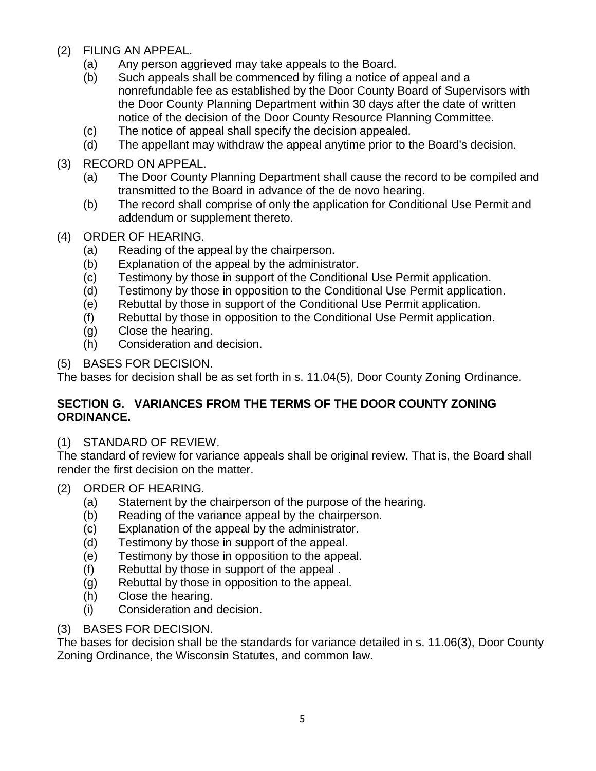- (2) FILING AN APPEAL.
	- (a) Any person aggrieved may take appeals to the Board.
	- (b) Such appeals shall be commenced by filing a notice of appeal and a nonrefundable fee as established by the Door County Board of Supervisors with the Door County Planning Department within 30 days after the date of written notice of the decision of the Door County Resource Planning Committee.
	- (c) The notice of appeal shall specify the decision appealed.
	- (d) The appellant may withdraw the appeal anytime prior to the Board's decision.
- (3) RECORD ON APPEAL.
	- (a) The Door County Planning Department shall cause the record to be compiled and transmitted to the Board in advance of the de novo hearing.
	- (b) The record shall comprise of only the application for Conditional Use Permit and addendum or supplement thereto.
- (4) ORDER OF HEARING.
	- (a) Reading of the appeal by the chairperson.
	- (b) Explanation of the appeal by the administrator.
	- (c) Testimony by those in support of the Conditional Use Permit application.
	- (d) Testimony by those in opposition to the Conditional Use Permit application.
	- (e) Rebuttal by those in support of the Conditional Use Permit application.
	- (f) Rebuttal by those in opposition to the Conditional Use Permit application.
	- (g) Close the hearing.
	- (h) Consideration and decision.
- (5) BASES FOR DECISION.

The bases for decision shall be as set forth in s. 11.04(5), Door County Zoning Ordinance.

## **SECTION G. VARIANCES FROM THE TERMS OF THE DOOR COUNTY ZONING ORDINANCE.**

# (1) STANDARD OF REVIEW.

The standard of review for variance appeals shall be original review. That is, the Board shall render the first decision on the matter.

- (2) ORDER OF HEARING.
	- (a) Statement by the chairperson of the purpose of the hearing.
	- (b) Reading of the variance appeal by the chairperson.
	- (c) Explanation of the appeal by the administrator.
	- (d) Testimony by those in support of the appeal.
	- (e) Testimony by those in opposition to the appeal.
	- (f) Rebuttal by those in support of the appeal .
	- (g) Rebuttal by those in opposition to the appeal.
	- (h) Close the hearing.
	- (i) Consideration and decision.

# (3) BASES FOR DECISION.

The bases for decision shall be the standards for variance detailed in s. 11.06(3), Door County Zoning Ordinance, the Wisconsin Statutes, and common law.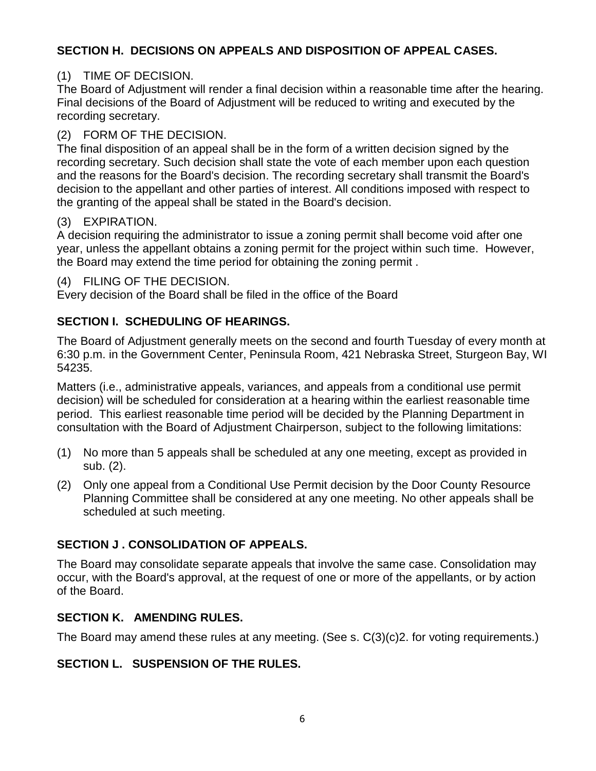## **SECTION H. DECISIONS ON APPEALS AND DISPOSITION OF APPEAL CASES.**

## (1) TIME OF DECISION.

The Board of Adjustment will render a final decision within a reasonable time after the hearing. Final decisions of the Board of Adjustment will be reduced to writing and executed by the recording secretary.

## (2) FORM OF THE DECISION.

The final disposition of an appeal shall be in the form of a written decision signed by the recording secretary. Such decision shall state the vote of each member upon each question and the reasons for the Board's decision. The recording secretary shall transmit the Board's decision to the appellant and other parties of interest. All conditions imposed with respect to the granting of the appeal shall be stated in the Board's decision.

## (3) EXPIRATION.

A decision requiring the administrator to issue a zoning permit shall become void after one year, unless the appellant obtains a zoning permit for the project within such time. However, the Board may extend the time period for obtaining the zoning permit .

#### (4) FILING OF THE DECISION.

Every decision of the Board shall be filed in the office of the Board

## **SECTION I. SCHEDULING OF HEARINGS.**

The Board of Adjustment generally meets on the second and fourth Tuesday of every month at 6:30 p.m. in the Government Center, Peninsula Room, 421 Nebraska Street, Sturgeon Bay, WI 54235.

Matters (i.e., administrative appeals, variances, and appeals from a conditional use permit decision) will be scheduled for consideration at a hearing within the earliest reasonable time period. This earliest reasonable time period will be decided by the Planning Department in consultation with the Board of Adjustment Chairperson, subject to the following limitations:

- (1) No more than 5 appeals shall be scheduled at any one meeting, except as provided in sub. (2).
- (2) Only one appeal from a Conditional Use Permit decision by the Door County Resource Planning Committee shall be considered at any one meeting. No other appeals shall be scheduled at such meeting.

# **SECTION J . CONSOLIDATION OF APPEALS.**

The Board may consolidate separate appeals that involve the same case. Consolidation may occur, with the Board's approval, at the request of one or more of the appellants, or by action of the Board.

#### **SECTION K. AMENDING RULES.**

The Board may amend these rules at any meeting. (See s. C(3)(c)2. for voting requirements.)

#### **SECTION L. SUSPENSION OF THE RULES.**